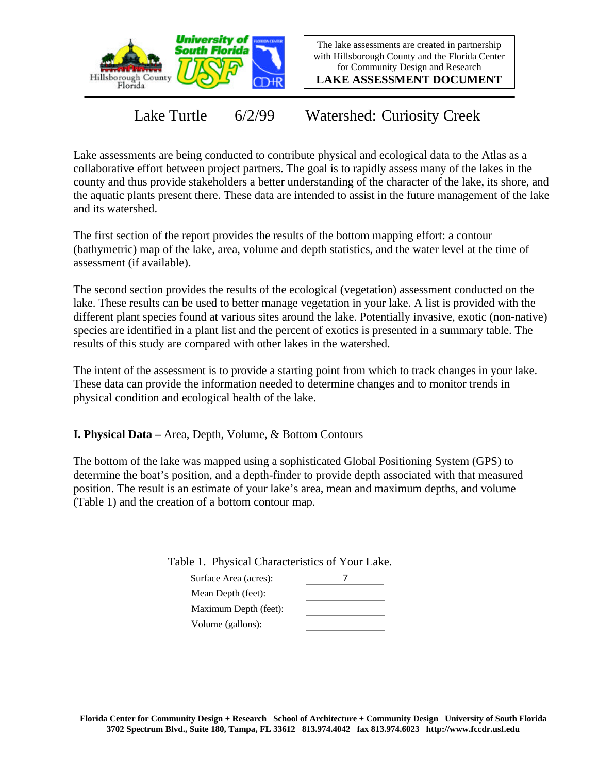

The lake assessments are created in partnership with Hillsborough County and the Florida Center for Community Design and Research

**LAKE ASSESSMENT DOCUMENT**

Lake Turtle 6/2/99 Watershed: Curiosity Creek

Lake assessments are being conducted to contribute physical and ecological data to the Atlas as a collaborative effort between project partners. The goal is to rapidly assess many of the lakes in the county and thus provide stakeholders a better understanding of the character of the lake, its shore, and the aquatic plants present there. These data are intended to assist in the future management of the lake and its watershed.

The first section of the report provides the results of the bottom mapping effort: a contour (bathymetric) map of the lake, area, volume and depth statistics, and the water level at the time of assessment (if available).

The second section provides the results of the ecological (vegetation) assessment conducted on the lake. These results can be used to better manage vegetation in your lake. A list is provided with the different plant species found at various sites around the lake. Potentially invasive, exotic (non-native) species are identified in a plant list and the percent of exotics is presented in a summary table. The results of this study are compared with other lakes in the watershed.

The intent of the assessment is to provide a starting point from which to track changes in your lake. These data can provide the information needed to determine changes and to monitor trends in physical condition and ecological health of the lake.

**I. Physical Data –** Area, Depth, Volume, & Bottom Contours

The bottom of the lake was mapped using a sophisticated Global Positioning System (GPS) to determine the boat's position, and a depth-finder to provide depth associated with that measured position. The result is an estimate of your lake's area, mean and maximum depths, and volume (Table 1) and the creation of a bottom contour map.

Table 1. Physical Characteristics of Your Lake.

| Surface Area (acres): |  |
|-----------------------|--|
| Mean Depth (feet):    |  |
| Maximum Depth (feet): |  |
| Volume (gallons):     |  |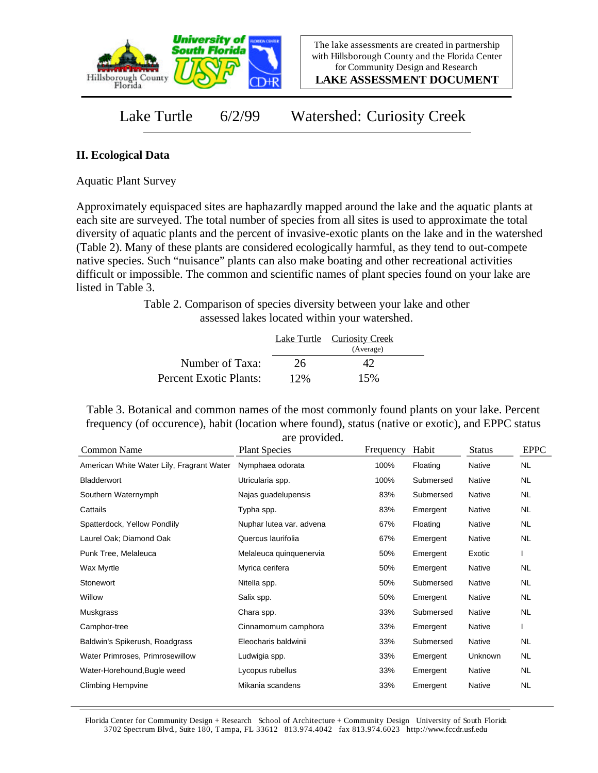

**LAKE ASSESSMENT DOCUMENT**

Lake Turtle 6/2/99 Watershed: Curiosity Creek

## **II. Ecological Data**

Aquatic Plant Survey

Approximately equispaced sites are haphazardly mapped around the lake and the aquatic plants at each site are surveyed. The total number of species from all sites is used to approximate the total diversity of aquatic plants and the percent of invasive-exotic plants on the lake and in the watershed (Table 2). Many of these plants are considered ecologically harmful, as they tend to out-compete native species. Such "nuisance" plants can also make boating and other recreational activities difficult or impossible. The common and scientific names of plant species found on your lake are listed in Table 3.

> Table 2. Comparison of species diversity between your lake and other assessed lakes located within your watershed.

|                        |     | Lake Turtle Curiosity Creek<br>(Average) |  |
|------------------------|-----|------------------------------------------|--|
| Number of Taxa:        | 26  | 42                                       |  |
| Percent Exotic Plants: | 12% | 15%                                      |  |

Table 3. Botanical and common names of the most commonly found plants on your lake. Percent frequency (of occurence), habit (location where found), status (native or exotic), and EPPC status are provided.

| Common Name                               | <b>Plant Species</b>     | Frequency | Habit     | <b>Status</b> | <b>EPPC</b> |
|-------------------------------------------|--------------------------|-----------|-----------|---------------|-------------|
| American White Water Lily, Fragrant Water | Nymphaea odorata         | 100%      | Floating  | Native        | NL.         |
| Bladderwort                               | Utricularia spp.         | 100%      | Submersed | Native        | <b>NL</b>   |
| Southern Waternymph                       | Najas guadelupensis      | 83%       | Submersed | Native        | NL.         |
| Cattails                                  | Typha spp.               | 83%       | Emergent  | Native        | NL.         |
| Spatterdock, Yellow Pondlily              | Nuphar lutea var. advena | 67%       | Floating  | Native        | NL.         |
| Laurel Oak; Diamond Oak                   | Quercus laurifolia       | 67%       | Emergent  | Native        | <b>NL</b>   |
| Punk Tree, Melaleuca                      | Melaleuca quinquenervia  | 50%       | Emergent  | Exotic        |             |
| Wax Myrtle                                | Myrica cerifera          | 50%       | Emergent  | Native        | NL.         |
| Stonewort                                 | Nitella spp.             | 50%       | Submersed | Native        | NL.         |
| Willow                                    | Salix spp.               | 50%       | Emergent  | Native        | NL.         |
| Muskgrass                                 | Chara spp.               | 33%       | Submersed | Native        | NL          |
| Camphor-tree                              | Cinnamomum camphora      | 33%       | Emergent  | Native        |             |
| Baldwin's Spikerush, Roadgrass            | Eleocharis baldwinii     | 33%       | Submersed | Native        | NL          |
| Water Primroses, Primrosewillow           | Ludwigia spp.            | 33%       | Emergent  | Unknown       | NL.         |
| Water-Horehound, Bugle weed               | Lycopus rubellus         | 33%       | Emergent  | Native        | NL.         |
| Climbing Hempvine                         | Mikania scandens         | 33%       | Emergent  | Native        | NL          |

Florida Center for Community Design + Research School of Architecture + Community Design University of South Florida 3702 Spectrum Blvd., Suite 180, Tampa, FL 33612 813.974.4042 fax 813.974.6023 http://www.fccdr.usf.edu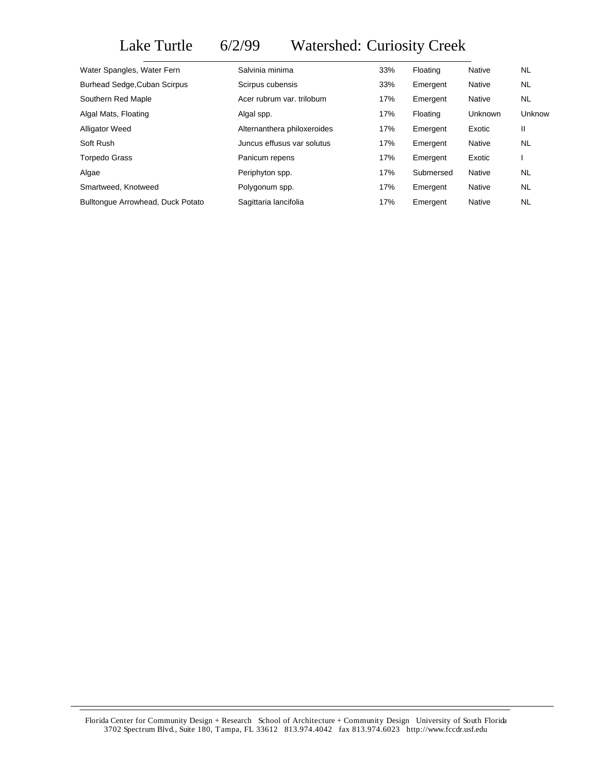## Lake Turtle 6/2/99 Watershed: Curiosity Creek

| Water Spangles, Water Fern          | Salvinia minima             | 33% | Floating  | Native  | <b>NL</b> |
|-------------------------------------|-----------------------------|-----|-----------|---------|-----------|
| <b>Burhead Sedge, Cuban Scirpus</b> | Scirpus cubensis            | 33% | Emergent  | Native  | NL.       |
| Southern Red Maple                  | Acer rubrum var. trilobum   | 17% | Emergent  | Native  | NL.       |
| Algal Mats, Floating                | Algal spp.                  | 17% | Floating  | Unknown | Unknow    |
| <b>Alligator Weed</b>               | Alternanthera philoxeroides | 17% | Emergent  | Exotic  | Ш         |
| Soft Rush                           | Juncus effusus var solutus  | 17% | Emergent  | Native  | <b>NL</b> |
| <b>Torpedo Grass</b>                | Panicum repens              | 17% | Emergent  | Exotic  |           |
| Algae                               | Periphyton spp.             | 17% | Submersed | Native  | <b>NL</b> |
| Smartweed, Knotweed                 | Polygonum spp.              | 17% | Emergent  | Native  | NL.       |
| Bulltonque Arrowhead, Duck Potato   | Sagittaria lancifolia       | 17% | Emergent  | Native  | <b>NL</b> |

Florida Center for Community Design + Research School of Architecture + Community Design University of South Florida 3702 Spectrum Blvd., Suite 180, Tampa, FL 33612 813.974.4042 fax 813.974.6023 http://www.fccdr.usf.edu